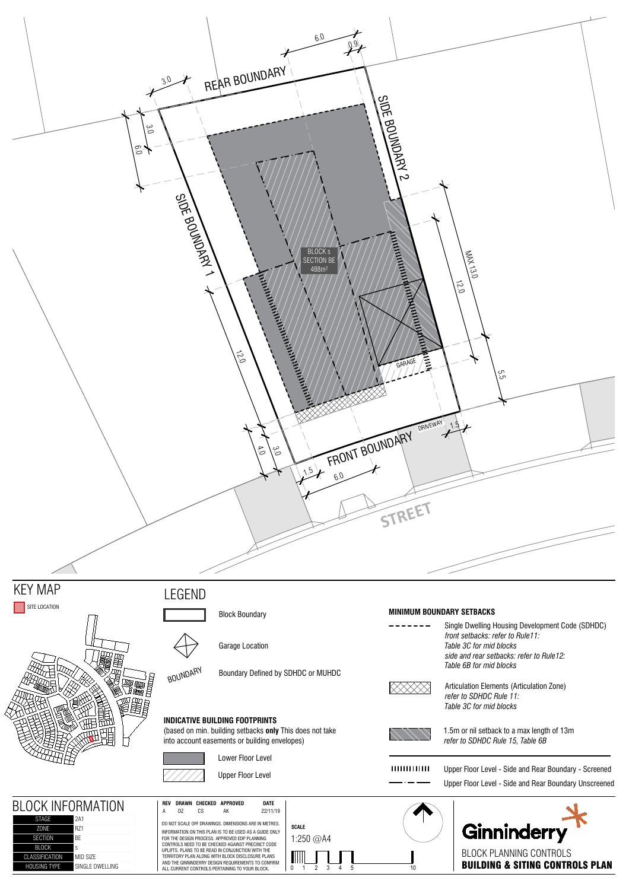